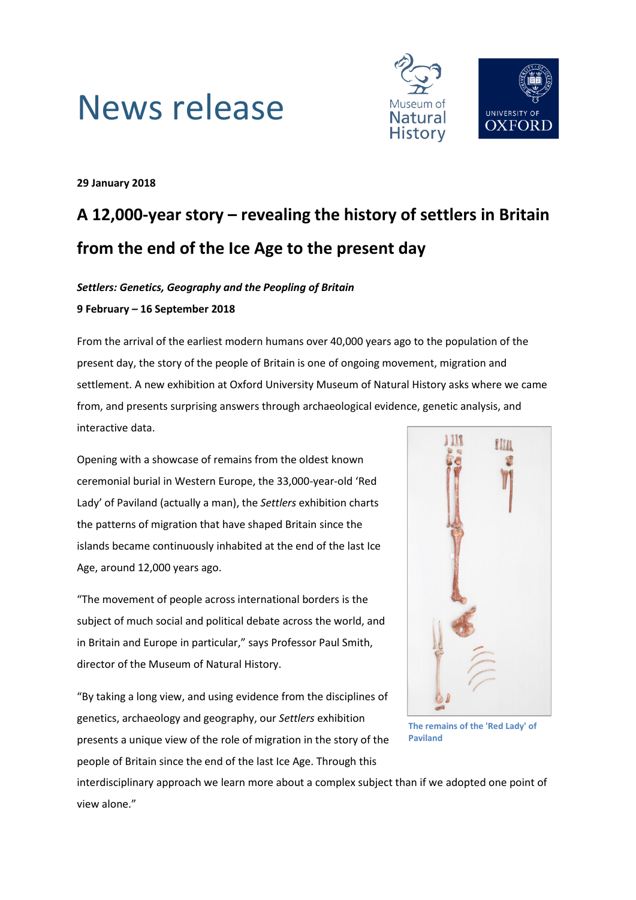



**29 January 2018**

## **A 12,000-year story – revealing the history of settlers in Britain from the end of the Ice Age to the present day**

### *Settlers: Genetics, Geography and the Peopling of Britain* **9 February – 16 September 2018**

From the arrival of the earliest modern humans over 40,000 years ago to the population of the present day, the story of the people of Britain is one of ongoing movement, migration and settlement. A new exhibition at Oxford University Museum of Natural History asks where we came from, and presents surprising answers through archaeological evidence, genetic analysis, and interactive data.

Opening with a showcase of remains from the oldest known ceremonial burial in Western Europe, the 33,000-year-old 'Red Lady' of Paviland (actually a man), the *Settlers* exhibition charts the patterns of migration that have shaped Britain since the islands became continuously inhabited at the end of the last Ice Age, around 12,000 years ago.

"The movement of people across international borders is the subject of much social and political debate across the world, and in Britain and Europe in particular," says Professor Paul Smith, director of the Museum of Natural History.

"By taking a long view, and using evidence from the disciplines of genetics, archaeology and geography, our *Settlers* exhibition presents a unique view of the role of migration in the story of the people of Britain since the end of the last Ice Age. Through this



**The remains of the 'Red Lady' of Paviland**

interdisciplinary approach we learn more about a complex subject than if we adopted one point of view alone."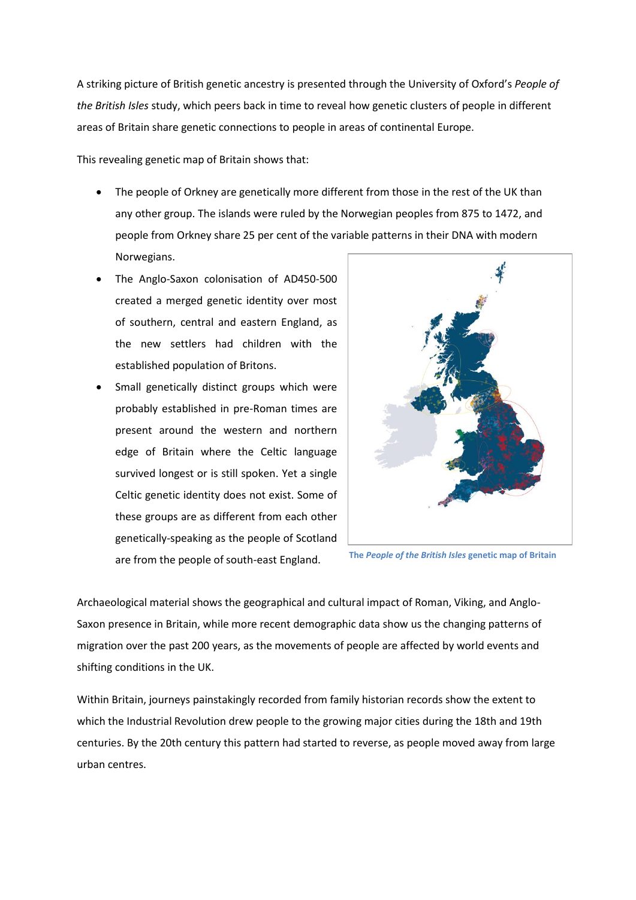A striking picture of British genetic ancestry is presented through the University of Oxford's *People of the British Isles* study, which peers back in time to reveal how genetic clusters of people in different areas of Britain share genetic connections to people in areas of continental Europe.

This revealing genetic map of Britain shows that:

- The people of Orkney are genetically more different from those in the rest of the UK than any other group. The islands were ruled by the Norwegian peoples from 875 to 1472, and people from Orkney share 25 per cent of the variable patterns in their DNA with modern Norwegians.
- The Anglo-Saxon colonisation of AD450-500 created a merged genetic identity over most of southern, central and eastern England, as the new settlers had children with the established population of Britons.
- Small genetically distinct groups which were probably established in pre-Roman times are present around the western and northern edge of Britain where the Celtic language survived longest or is still spoken. Yet a single Celtic genetic identity does not exist. Some of these groups are as different from each other genetically-speaking as the people of Scotland are from the people of south-east England.



**The** *People of the British Isles* **genetic map of Britain**

Archaeological material shows the geographical and cultural impact of Roman, Viking, and Anglo-Saxon presence in Britain, while more recent demographic data show us the changing patterns of migration over the past 200 years, as the movements of people are affected by world events and shifting conditions in the UK.

Within Britain, journeys painstakingly recorded from family historian records show the extent to which the Industrial Revolution drew people to the growing major cities during the 18th and 19th centuries. By the 20th century this pattern had started to reverse, as people moved away from large urban centres.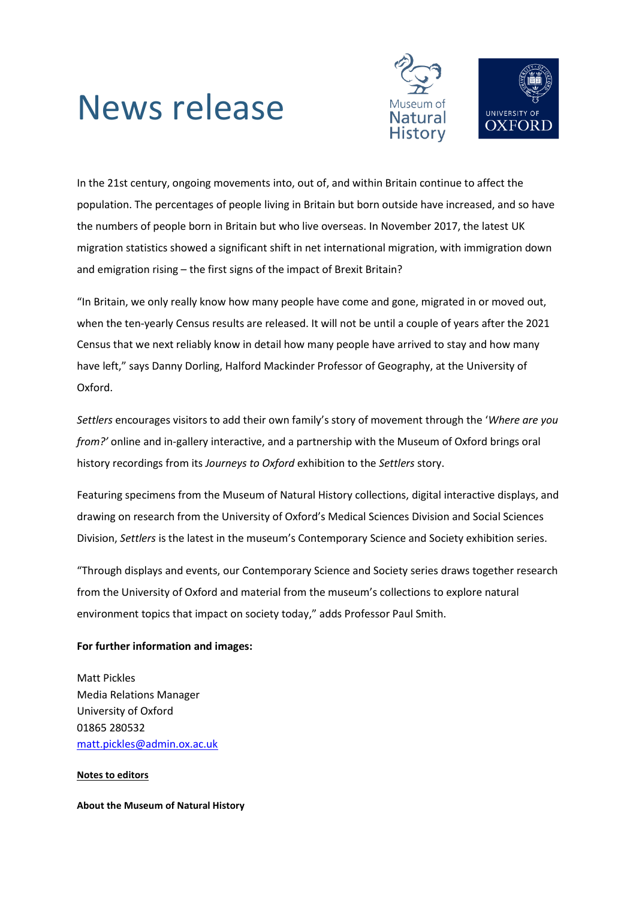# News release



In the 21st century, ongoing movements into, out of, and within Britain continue to affect the population. The percentages of people living in Britain but born outside have increased, and so have the numbers of people born in Britain but who live overseas. In November 2017, the latest UK migration statistics showed a significant shift in net international migration, with immigration down and emigration rising – the first signs of the impact of Brexit Britain?

"In Britain, we only really know how many people have come and gone, migrated in or moved out, when the ten-yearly Census results are released. It will not be until a couple of years after the 2021 Census that we next reliably know in detail how many people have arrived to stay and how many have left," says Danny Dorling, Halford Mackinder Professor of Geography, at the University of Oxford.

*Settlers* encourages visitors to add their own family's story of movement through the '*Where are you from?'* online and in-gallery interactive, and a partnership with the Museum of Oxford brings oral history recordings from its *Journeys to Oxford* exhibition to the *Settlers* story.

Featuring specimens from the Museum of Natural History collections, digital interactive displays, and drawing on research from the University of Oxford's Medical Sciences Division and Social Sciences Division, *Settlers* is the latest in the museum's Contemporary Science and Society exhibition series.

"Through displays and events, our Contemporary Science and Society series draws together research from the University of Oxford and material from the museum's collections to explore natural environment topics that impact on society today," adds Professor Paul Smith.

### **For further information and images:**

Matt Pickles Media Relations Manager University of Oxford 01865 280532 [matt.pickles@admin.ox.ac.uk](mailto:matt.pickles@admin.ox.ac.uk)

#### **Notes to editors**

**About the Museum of Natural History**